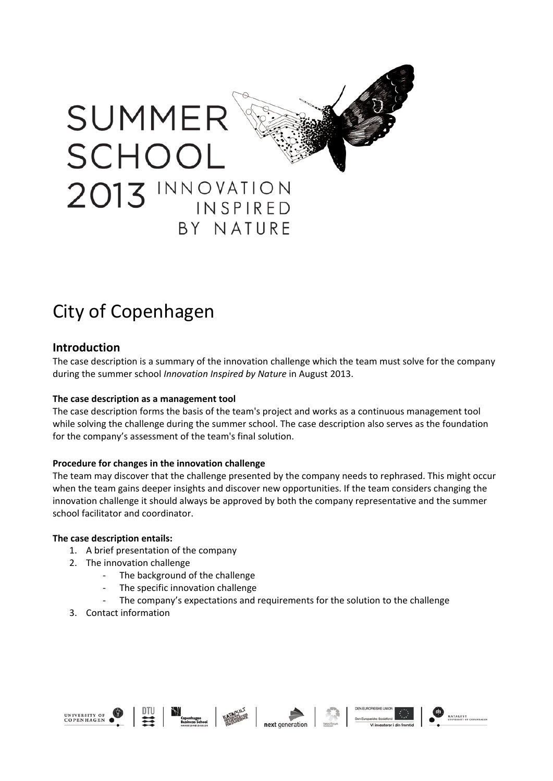

# City of Copenhagen

## **Introduction**

The case description is a summary of the innovation challenge which the team must solve for the company during the summer school *Innovation Inspired by Nature* in August 2013.

## **The case description as a management tool**

The case description forms the basis of the team's project and works as a continuous management tool while solving the challenge during the summer school. The case description also serves as the foundation for the company's assessment of the team's final solution.

## **Procedure for changes in the innovation challenge**

The team may discover that the challenge presented by the company needs to rephrased. This might occur when the team gains deeper insights and discover new opportunities. If the team considers changing the innovation challenge it should always be approved by both the company representative and the summer school facilitator and coordinator.

## **The case description entails:**

- 1. A brief presentation of the company
- 2. The innovation challenge
	- The background of the challenge
	- The specific innovation challenge
	- The company's expectations and requirements for the solution to the challenge
- 3. Contact information









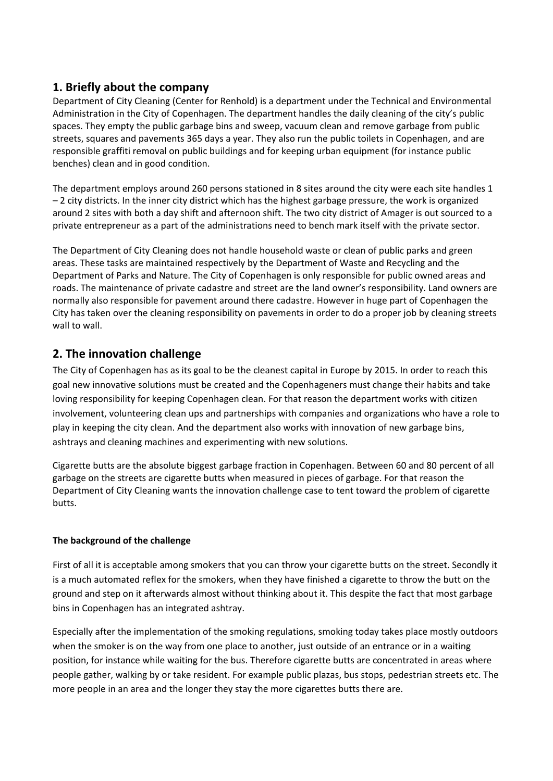# **1. Briefly about the company**

Department of City Cleaning (Center for Renhold) is a department under the Technical and Environmental Administration in the City of Copenhagen. The department handles the daily cleaning of the city's public spaces. They empty the public garbage bins and sweep, vacuum clean and remove garbage from public streets, squares and pavements 365 days a year. They also run the public toilets in Copenhagen, and are responsible graffiti removal on public buildings and for keeping urban equipment (for instance public benches) clean and in good condition.

The department employs around 260 persons stationed in 8 sites around the city were each site handles 1 – 2 city districts. In the inner city district which has the highest garbage pressure, the work is organized around 2 sites with both a day shift and afternoon shift. The two city district of Amager is out sourced to a private entrepreneur as a part of the administrations need to bench mark itself with the private sector.

The Department of City Cleaning does not handle household waste or clean of public parks and green areas. These tasks are maintained respectively by the Department of Waste and Recycling and the Department of Parks and Nature. The City of Copenhagen is only responsible for public owned areas and roads. The maintenance of private cadastre and street are the land owner's responsibility. Land owners are normally also responsible for pavement around there cadastre. However in huge part of Copenhagen the City has taken over the cleaning responsibility on pavements in order to do a proper job by cleaning streets wall to wall.

# **2. The innovation challenge**

The City of Copenhagen has as its goal to be the cleanest capital in Europe by 2015. In order to reach this goal new innovative solutions must be created and the Copenhageners must change their habits and take loving responsibility for keeping Copenhagen clean. For that reason the department works with citizen involvement, volunteering clean ups and partnerships with companies and organizations who have a role to play in keeping the city clean. And the department also works with innovation of new garbage bins, ashtrays and cleaning machines and experimenting with new solutions.

Cigarette butts are the absolute biggest garbage fraction in Copenhagen. Between 60 and 80 percent of all garbage on the streets are cigarette butts when measured in pieces of garbage. For that reason the Department of City Cleaning wants the innovation challenge case to tent toward the problem of cigarette butts.

## **The background of the challenge**

First of all it is acceptable among smokers that you can throw your cigarette butts on the street. Secondly it is a much automated reflex for the smokers, when they have finished a cigarette to throw the butt on the ground and step on it afterwards almost without thinking about it. This despite the fact that most garbage bins in Copenhagen has an integrated ashtray.

Especially after the implementation of the smoking regulations, smoking today takes place mostly outdoors when the smoker is on the way from one place to another, just outside of an entrance or in a waiting position, for instance while waiting for the bus. Therefore cigarette butts are concentrated in areas where people gather, walking by or take resident. For example public plazas, bus stops, pedestrian streets etc. The more people in an area and the longer they stay the more cigarettes butts there are.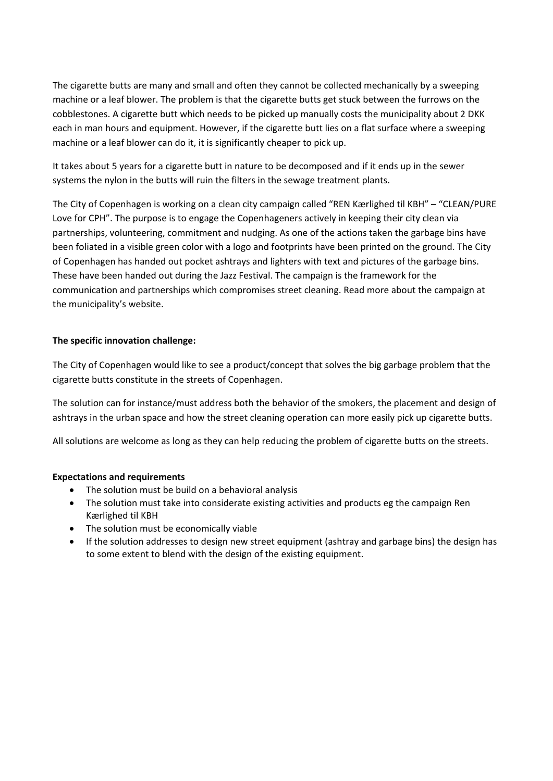The cigarette butts are many and small and often they cannot be collected mechanically by a sweeping machine or a leaf blower. The problem is that the cigarette butts get stuck between the furrows on the cobblestones. A cigarette butt which needs to be picked up manually costs the municipality about 2 DKK each in man hours and equipment. However, if the cigarette butt lies on a flat surface where a sweeping machine or a leaf blower can do it, it is significantly cheaper to pick up.

It takes about 5 years for a cigarette butt in nature to be decomposed and if it ends up in the sewer systems the nylon in the butts will ruin the filters in the sewage treatment plants.

The City of Copenhagen is working on a clean city campaign called "REN Kærlighed til KBH" – "CLEAN/PURE Love for CPH". The purpose is to engage the Copenhageners actively in keeping their city clean via partnerships, volunteering, commitment and nudging. As one of the actions taken the garbage bins have been foliated in a visible green color with a logo and footprints have been printed on the ground. The City of Copenhagen has handed out pocket ashtrays and lighters with text and pictures of the garbage bins. These have been handed out during the Jazz Festival. The campaign is the framework for the communication and partnerships which compromises street cleaning. Read more about the campaign at the municipality's website.

## **The specific innovation challenge:**

The City of Copenhagen would like to see a product/concept that solves the big garbage problem that the cigarette butts constitute in the streets of Copenhagen.

The solution can for instance/must address both the behavior of the smokers, the placement and design of ashtrays in the urban space and how the street cleaning operation can more easily pick up cigarette butts.

All solutions are welcome as long as they can help reducing the problem of cigarette butts on the streets.

## **Expectations and requirements**

- The solution must be build on a behavioral analysis
- The solution must take into considerate existing activities and products eg the campaign Ren Kærlighed til KBH
- The solution must be economically viable
- If the solution addresses to design new street equipment (ashtray and garbage bins) the design has to some extent to blend with the design of the existing equipment.